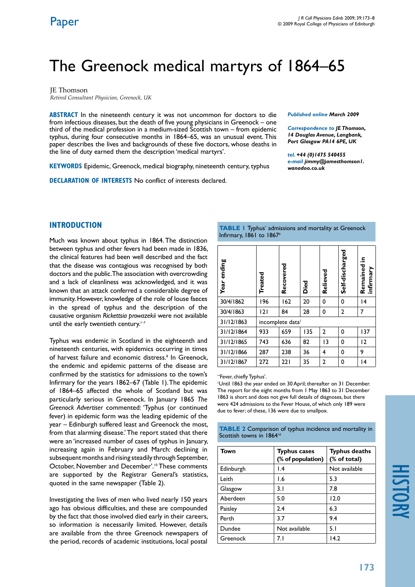# The Greenock medical martyrs of 1864–65

JE Thomson *Retired Consultant Physician, Greenock, UK*

**ABSTRACT** In the nineteenth century it was not uncommon for doctors to die from infectious diseases, but the death of five young physicians in Greenock – one third of the medical profession in a medium-sized Scottish town – from epidemic typhus, during four consecutive months in 1864–65, was an unusual event. This paper describes the lives and backgrounds of these five doctors, whose deaths in the line of duty earned them the description 'medical martyrs'.

**KEYWORDS** Epidemic, Greenock, medical biography, nineteenth century, typhus

**Declaration of Interests** No conflict of interests declared.

*Published online March 2009* 

*Correspondence to JE Thomson, 14 Douglas Avenue, Langbank, Port Glasgow PA14 6PE, UK*

*tel. +44 (0)1475 540455 e-mail jimmy@jamesthomson1. wanadoo.co.uk*

# **INTRODUCTION**

Much was known about typhus in 1864. The distinction between typhus and other fevers had been made in 1836, the clinical features had been well described and the fact that the disease was contagious was recognised by both doctors and the public. The association with overcrowding and a lack of cleanliness was acknowledged, and it was known that an attack conferred a considerable degree of immunity. However, knowledge of the role of louse faeces in the spread of typhus and the description of the causative organism *Rickettsia prowazekii* were not available until the early twentieth century.<sup>1-7</sup>

Typhus was endemic in Scotland in the eighteenth and nineteenth centuries, with epidemics occurring in times of harvest failure and economic distress.<sup>8</sup> In Greenock, the endemic and epidemic patterns of the disease are confirmed by the statistics for admissions to the town's Infirmary for the years 1862–67 (Table 1). The epidemic of 1864–65 affected the whole of Scotland but was particularly serious in Greenock. In January 1865 *The Greenock Advertiser* commented: 'Typhus (or continued fever) in epidemic form was the leading epidemic of the year – Edinburgh suffered least and Greenock the most, from that alarming disease.' The report stated that there were an 'increased number of cases of typhus in January, increasing again in February and March: declining in subsequent months and rising steadily through September, October, November and December'.10 These comments are supported by the Registrar General's statistics, quoted in the same newspaper (Table 2).

Investigating the lives of men who lived nearly 150 years ago has obvious difficulties, and these are compounded by the fact that those involved died early in their careers, so information is necessarily limited. However, details are available from the three Greenock newspapers of the period, records of academic institutions, local postal

**TABLE I** Typhus<sup>\*</sup> admissions and mortality at Greenock Infirmary, 1861 to 18679

| ending<br><b>Year</b> | Treated                      | Recovered | Died | Relieved     | Self-discharged | 음.<br>Remained<br>infirmary |
|-----------------------|------------------------------|-----------|------|--------------|-----------------|-----------------------------|
| 30/4/1862             | 196                          | 162       | 20   | 0            | 0               | 4                           |
| 30/4/1863             | 2                            | 84        | 28   | 0            | $\overline{2}$  | 7                           |
| 31/12/1863            | incomplete data <sup>+</sup> |           |      |              |                 |                             |
| 31/12/1864            | 933                          | 659       | 135  | $\mathbf{2}$ | 0               | 137                         |
| 31/12/1865            | 743                          | 636       | 82   | 3            | 0               | 12                          |
| 31/12/1866            | 287                          | 238       | 36   | 4            | 0               | 9                           |
| 31/12/1867            | 272                          | 221       | 35   | 2            | 0               | 4                           |

\* 'Fever, chiefly Typhus'.

† Until 1863 the year ended on 30 April; thereafter on 31 December. The report for the eight months from 1 May 1863 to 31 December 1863 is short and does not give full details of diagnoses, but there were 424 admissions to the Fever House, of which only 189 were due to fever; of these, 136 were due to smallpox.

**TABLE 2** Comparison of typhus incidence and mortality in Scottish towns in 1864<sup>10</sup>

| <b>Town</b> | <b>Typhus cases</b><br>(% of population) | <b>Typhus deaths</b><br>(% of total) |
|-------------|------------------------------------------|--------------------------------------|
| Edinburgh   | $\mathsf{I}$ .4                          | Not available                        |
| Leith       | 1.6                                      | 5.3                                  |
| Glasgow     | 3. I                                     | 7.8                                  |
| Aberdeen    | 5.0                                      | 12.0                                 |
| Paisley     | 2.4                                      | 6.3                                  |
| Perth       | 3.7                                      | 9.4                                  |
| Dundee      | Not available                            | 5.1                                  |
| Greenock    | 7. I                                     | 14.2                                 |

history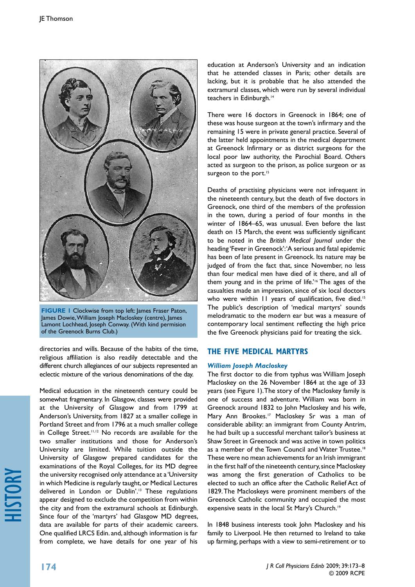

**FIGURE 1** Clockwise from top left: James Fraser Paton, James Dowie, William Joseph Macloskey (centre), James Lamont Lochhead, Joseph Conway. (With kind permision of the Greenock Burns Club.)

directories and wills. Because of the habits of the time, religious affiliation is also readily detectable and the different church allegiances of our subjects represented an eclectic mixture of the various denominations of the day.

Medical education in the nineteenth century could be somewhat fragmentary. In Glasgow, classes were provided at the University of Glasgow and from 1799 at Anderson's University, from 1827 at a smaller college in Portland Street and from 1796 at a much smaller college in College Street.11,12 No records are available for the two smaller institutions and those for Anderson's University are limited. While tuition outside the University of Glasgow prepared candidates for the examinations of the Royal Colleges, for its MD degree the university recognised only attendance at a 'University in which Medicine is regularly taught, or Medical Lectures delivered in London or Dublin'.13 These regulations appear designed to exclude the competition from within the city and from the extramural schools at Edinburgh. Since four of the 'martyrs' had Glasgow MD degrees, data are available for parts of their academic careers. One qualified LRCS Edin. and, although information is far from complete, we have details for one year of his

education at Anderson's University and an indication that he attended classes in Paris; other details are lacking, but it is probable that he also attended the extramural classes, which were run by several individual teachers in Edinburgh.<sup>14</sup>

There were 16 doctors in Greenock in 1864; one of these was house surgeon at the town's infirmary and the remaining 15 were in private general practice. Several of the latter held appointments in the medical department at Greenock Infirmary or as district surgeons for the local poor law authority, the Parochial Board. Others acted as surgeon to the prison, as police surgeon or as surgeon to the port.<sup>15</sup>

Deaths of practising physicians were not infrequent in the nineteenth century, but the death of five doctors in Greenock, one third of the members of the profession in the town, during a period of four months in the winter of 1864–65, was unusual. Even before the last death on 15 March, the event was sufficiently significant to be noted in the *British Medical Journal* under the heading 'Fever in Greenock': 'A serious and fatal epidemic has been of late present in Greenock. Its nature may be judged of from the fact that, since November, no less than four medical men have died of it there, and all of them young and in the prime of life.'<sup>16</sup> The ages of the casualties made an impression, since of six local doctors who were within 11 years of qualification, five died.<sup>15</sup> The public's description of 'medical martyrs' sounds melodramatic to the modern ear but was a measure of contemporary local sentiment reflecting the high price the five Greenock physicians paid for treating the sick.

# **THE FIVE MEDICAL MARTYRS**

# *William Joseph Macloskey*

The first doctor to die from typhus was William Joseph Macloskey on the 26 November 1864 at the age of 33 years (see Figure 1). The story of the Macloskey family is one of success and adventure. William was born in Greenock around 1832 to John Macloskey and his wife, Mary Ann Brookes.<sup>17</sup> Macloskey Sr was a man of considerable ability: an immigrant from County Antrim, he had built up a successful merchant tailor's business at Shaw Street in Greenock and was active in town politics as a member of the Town Council and Water Trustee.<sup>18</sup> These were no mean achievements for an Irish immigrant in the first half of the nineteenth century, since Macloskey was among the first generation of Catholics to be elected to such an office after the Catholic Relief Act of 1829. The Macloskeys were prominent members of the Greenock Catholic community and occupied the most expensive seats in the local St Mary's Church.<sup>19</sup>

In 1848 business interests took John Macloskey and his family to Liverpool. He then returned to Ireland to take up farming, perhaps with a view to semi-retirement or to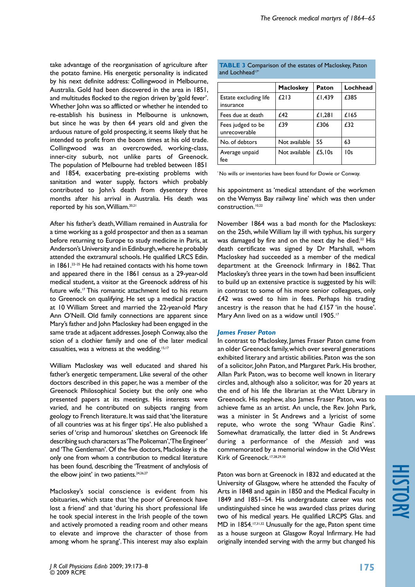take advantage of the reorganisation of agriculture after the potato famine. His energetic personality is indicated by his next definite address: Collingwood in Melbourne, Australia. Gold had been discovered in the area in 1851, and multitudes flocked to the region driven by 'gold fever'. Whether John was so afflicted or whether he intended to re-establish his business in Melbourne is unknown, but since he was by then 64 years old and given the arduous nature of gold prospecting, it seems likely that he intended to profit from the boom times at his old trade. Collingwood was an overcrowded, working-class, inner-city suburb, not unlike parts of Greenock. The population of Melbourne had trebled between 1851 and 1854, exacerbating pre-existing problems with sanitation and water supply, factors which probably contributed to John's death from dysentery three months after his arrival in Australia. His death was reported by his son, William.20,21

After his father's death, William remained in Australia for a time working as a gold prospector and then as a seaman before returning to Europe to study medicine in Paris, at Anderson's University and in Edinburgh, where he probably attended the extramural schools. He qualified LRCS Edin. in 1861.<sup>22-25</sup> He had retained contacts with his home town and appeared there in the 1861 census as a 29-year-old medical student, a visitor at the Greenock address of his future wife.<sup>17</sup> This romantic attachment led to his return to Greenock on qualifying. He set up a medical practice at 10 William Street and married the 22-year-old Mary Ann O'Neill. Old family connections are apparent since Mary's father and John Macloskey had been engaged in the same trade at adjacent addresses. Joseph Conway, also the scion of a clothier family and one of the later medical casualties, was a witness at the wedding.15,17

William Macloskey was well educated and shared his father's energetic temperament. Like several of the other doctors described in this paper, he was a member of the Greenock Philosophical Society but the only one who presented papers at its meetings. His interests were varied, and he contributed on subjects ranging from geology to French literature. It was said that 'the literature of all countries was at his finger tips'. He also published a series of 'crisp and humorous' sketches on Greenock life describing such characters as 'The Policeman', 'The Engineer' and 'The Gentleman'. Of the five doctors, Macloskey is the only one from whom a contribution to medical literature has been found, describing the 'Treatment of anchylosis of the elbow joint' in two patients.<sup>24,26,27</sup>

Macloskey's social conscience is evident from his obituaries, which state that 'the poor of Greenock have lost a friend' and that 'during his short professional life he took special interest in the Irish people of the town and actively promoted a reading room and other means to elevate and improve the character of those from among whom he sprang'. This interest may also explain

|                             |  | <b>TABLE 3</b> Comparison of the estates of Macloskey, Paton |  |
|-----------------------------|--|--------------------------------------------------------------|--|
| and Lochhead <sup>17*</sup> |  |                                                              |  |

|                                    | <b>Macloskey</b> | Paton  | Lochhead |
|------------------------------------|------------------|--------|----------|
| Estate excluding life<br>insurance | E213             | £1,439 | £385     |
| Fees due at death                  | £42              | £1,281 | £165     |
| Fees judged to be<br>unrecoverable | £39              | £306   | £32      |
| No. of debtors                     | Not available    | 55     | 63       |
| Average unpaid<br>fee              | Not available    | £5.10s | 10s      |

\*No wills or inventories have been found for Dowie or Conway.

his appointment as 'medical attendant of the workmen on the Wemyss Bay railway line' which was then under construction.<sup>10,22</sup>

November 1864 was a bad month for the Macloskeys: on the 25th, while William lay ill with typhus, his surgery was damaged by fire and on the next day he died.<sup>22</sup> His death certificate was signed by Dr Marshall, whom Macloskey had succeeded as a member of the medical department at the Greenock Infirmary in 1862. That Macloskey's three years in the town had been insufficient to build up an extensive practice is suggested by his will: in contrast to some of his more senior colleagues, only £42 was owed to him in fees. Perhaps his trading ancestry is the reason that he had £157 'in the house'. Mary Ann lived on as a widow until 1905.<sup>17</sup>

#### *James Fraser Paton*

In contrast to Macloskey, James Fraser Paton came from an older Greenock family, which over several generations exhibited literary and artistic abilities. Paton was the son of a solicitor, John Paton, and Margaret Park. His brother, Allan Park Paton, was to become well known in literary circles and, although also a solicitor, was for 20 years at the end of his life the librarian at the Watt Library in Greenock. His nephew, also James Fraser Paton, was to achieve fame as an artist. An uncle, the Rev. John Park, was a minister in St Andrews and a lyricist of some repute, who wrote the song 'Whaur Gadie Rins'. Somewhat dramatically, the latter died in St Andrews during a performance of the *Messiah* and was commemorated by a memorial window in the Old West Kirk of Greenock.<sup>17,28,29,30</sup>

Paton was born at Greenock in 1832 and educated at the University of Glasgow, where he attended the Faculty of Arts in 1848 and again in 1850 and the Medical Faculty in 1849 and 1851–54. His undergraduate career was not undistinguished since he was awarded class prizes during two of his medical years. He qualified LRCPS Glas. and MD in 1854.17,31,32 Unusually for the age, Paton spent time as a house surgeon at Glasgow Royal Infirmary. He had originally intended serving with the army but changed his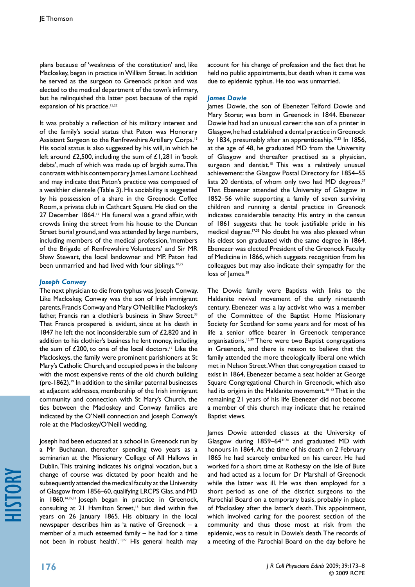plans because of 'weakness of the constitution' and, like Macloskey, began in practice in William Street. In addition he served as the surgeon to Greenock prison and was elected to the medical department of the town's infirmary, but he relinquished this latter post because of the rapid expansion of his practice.<sup>15,22</sup>

It was probably a reflection of his military interest and of the family's social status that Paton was Honorary Assistant Surgeon to the Renfrewshire Artillery Corps.15 His social status is also suggested by his will, in which he left around £2,500, including the sum of £1,281 in 'book debts', much of which was made up of largish sums. This contrasts with his contemporary James Lamont Lochhead and may indicate that Paton's practice was composed of a wealthier clientele (Table 3). His sociability is suggested by his possession of a share in the Greenock Coffee Room, a private club in Cathcart Square. He died on the 27 December 1864.<sup>17</sup> His funeral was a grand affair, with crowds lining the street from his house to the Duncan Street burial ground, and was attended by large numbers, including members of the medical profession, 'members of the Brigade of Renfrewshire Volunteers' and Sir MR Shaw Stewart, the local landowner and MP. Paton had been unmarried and had lived with four siblings.<sup>10,22</sup>

## *Joseph Conway*

The next physician to die from typhus was Joseph Conway. Like Macloskey, Conway was the son of Irish immigrant parents, Francis Conway and Mary O'Neill; like Macloskey's father, Francis ran a clothier's business in Shaw Street.<sup>33</sup> That Francis prospered is evident, since at his death in 1847 he left the not inconsiderable sum of £2,820 and in addition to his clothier's business he lent money, including the sum of  $£200$ , to one of the local doctors.<sup>17</sup> Like the Macloskeys, the family were prominent parishioners at St Mary's Catholic Church, and occupied pews in the balcony with the most expensive rents of the old church building (pre-1862).19 In addition to the similar paternal businesses at adjacent addresses, membership of the Irish immigrant community and connection with St Mary's Church, the ties between the Macloskey and Conway families are indicated by the O'Neill connection and Joseph Conway's role at the Macloskey/O'Neill wedding.

Joseph had been educated at a school in Greenock run by a Mr Buchanan, thereafter spending two years as a seminarian at the Missionary College of All Hallows in Dublin. This training indicates his original vocation, but a change of course was dictated by poor health and he subsequently attended the medical faculty at the University of Glasgow from 1856–60, qualifying LRCPS Glas. and MD in 1860.34,35,36 Joseph began in practice in Greenock, consulting at 21 Hamilton Street,<sup>15</sup> but died within five years on 26 January 1865. His obituary in the local newspaper describes him as 'a native of Greenock – a member of a much esteemed family – he had for a time not been in robust health'.<sup>10,22</sup> His general health may

account for his change of profession and the fact that he held no public appointments, but death when it came was due to epidemic typhus. He too was unmarried.

### *James Dowie*

James Dowie, the son of Ebenezer Telford Dowie and Mary Storer, was born in Greenock in 1844. Ebenezer Dowie had had an unusual career: the son of a printer in Glasgow, he had established a dental practice in Greenock by 1834, presumably after an apprenticeship.<sup>17,33</sup> In 1856, at the age of 48, he graduated MD from the University of Glasgow and thereafter practised as a physician, surgeon and dentist.<sup>15</sup> This was a relatively unusual achievement: the Glasgow Postal Directory for 1854–55 lists 20 dentists, of whom only two had MD degrees.<sup>37</sup> That Ebenezer attended the University of Glasgow in 1852–56 while supporting a family of seven surviving children and running a dental practice in Greenock indicates considerable tenacity. His entry in the census of 1861 suggests that he took justifiable pride in his medical degree.<sup>17,35</sup> No doubt he was also pleased when his eldest son graduated with the same degree in 1864. Ebenezer was elected President of the Greenock Faculty of Medicine in 1866, which suggests recognition from his colleagues but may also indicate their sympathy for the loss of lames.<sup>38</sup>

The Dowie family were Baptists with links to the Haldanite revival movement of the early nineteenth century. Ebenezer was a lay activist who was a member of the Committee of the Baptist Home Missionary Society for Scotland for some years and for most of his life a senior office bearer in Greenock temperance organisations.15,39 There were two Baptist congregations in Greenock, and there is reason to believe that the family attended the more theologically liberal one which met in Nelson Street. When that congregation ceased to exist in 1864, Ebenezer became a seat holder at George Square Congregational Church in Greenock, which also had its origins in the Haldanite movement.<sup>40–42</sup> That in the remaining 21 years of his life Ebenezer did not become a member of this church may indicate that he retained Baptist views.

James Dowie attended classes at the University of Glasgow during 1859–6431,36 and graduated MD with honours in 1864. At the time of his death on 2 February 1865 he had scarcely embarked on his career. He had worked for a short time at Rothesay on the Isle of Bute and had acted as a locum for Dr Marshall of Greenock while the latter was ill. He was then employed for a short period as one of the district surgeons to the Parochial Board on a temporary basis, probably in place of Macloskey after the latter's death. This appointment, which involved caring for the poorest section of the community and thus those most at risk from the epidemic, was to result in Dowie's death. The records of a meeting of the Parochial Board on the day before he

history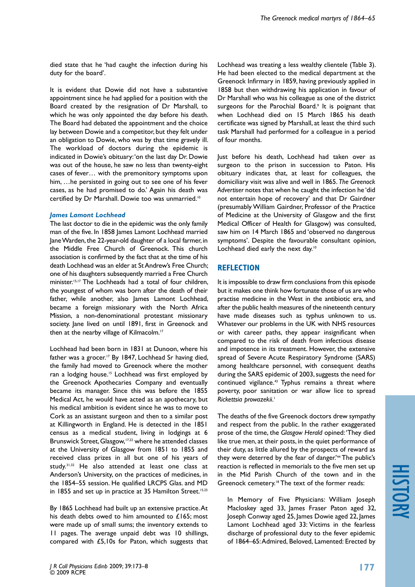died state that he 'had caught the infection during his duty for the board'.

It is evident that Dowie did not have a substantive appointment since he had applied for a position with the Board created by the resignation of Dr Marshall, to which he was only appointed the day before his death. The Board had debated the appointment and the choice lay between Dowie and a competitor, but they felt under an obligation to Dowie, who was by that time gravely ill. The workload of doctors during the epidemic is indicated in Dowie's obituary: 'on the last day Dr. Dowie was out of the house, he saw no less than twenty-eight cases of fever… with the premonitory symptoms upon him, …he persisted in going out to see one of his fever cases, as he had promised to do.' Again his death was certified by Dr Marshall. Dowie too was unmarried.<sup>10</sup>

### *James Lamont Lochhead*

The last doctor to die in the epidemic was the only family man of the five. In 1858 James Lamont Lochhead married Jane Warden, the 22-year-old daughter of a local farmer, in the Middle Free Church of Greenock. This church association is confirmed by the fact that at the time of his death Lochhead was an elder at St Andrew's Free Church; one of his daughters subsequently married a Free Church minister.15,17 The Lochheads had a total of four children, the youngest of whom was born after the death of their father, while another, also James Lamont Lochhead, became a foreign missionary with the North Africa Mission, a non-denominational protestant missionary society. Jane lived on until 1891, first in Greenock and then at the nearby village of Kilmacolm.<sup>17</sup>

Lochhead had been born in 1831 at Dunoon, where his father was a grocer.<sup>17</sup> By 1847, Lochhead Sr having died, the family had moved to Greenock where the mother ran a lodging house.<sup>15</sup> Lochhead was first employed by the Greenock Apothecaries Company and eventually became its manager. Since this was before the 1855 Medical Act, he would have acted as an apothecary, but his medical ambition is evident since he was to move to Cork as an assistant surgeon and then to a similar post at Killingworth in England. He is detected in the 1851 census as a medical student, living in lodgings at 6 Brunswick Street, Glasgow,<sup>17,22</sup> where he attended classes at the University of Glasgow from 1851 to 1855 and received class prizes in all but one of his years of study.31,32 He also attended at least one class at Anderson's University, on the practices of medicines, in the 1854–55 session. He qualified LRCPS Glas. and MD in 1855 and set up in practice at 35 Hamilton Street.<sup>15,25</sup>

By 1865 Lochhead had built up an extensive practice. At his death debts owed to him amounted to £165; most were made up of small sums; the inventory extends to 11 pages. The average unpaid debt was 10 shillings, compared with £5,10s for Paton, which suggests that

Lochhead was treating a less wealthy clientele (Table 3). He had been elected to the medical department at the Greenock Infirmary in 1859, having previously applied in 1858 but then withdrawing his application in favour of Dr Marshall who was his colleague as one of the district surgeons for the Parochial Board.<sup>9</sup> It is poignant that when Lochhead died on 15 March 1865 his death certificate was signed by Marshall, at least the third such task Marshall had performed for a colleague in a period of four months.

Just before his death, Lochhead had taken over as surgeon to the prison in succession to Paton. His obituary indicates that, at least for colleagues, the domiciliary visit was alive and well in 1865. *The Greenock Advertiser* notes that when he caught the infection he 'did not entertain hope of recovery' and that Dr Gairdner (presumably William Gairdner, Professor of the Practice of Medicine at the University of Glasgow and the first Medical Officer of Health for Glasgow) was consulted, saw him on 14 March 1865 and 'observed no dangerous symptoms'. Despite the favourable consultant opinion, Lochhead died early the next day.<sup>10</sup>

# **REFLECTION**

It is impossible to draw firm conclusions from this episode but it makes one think how fortunate those of us are who practise medicine in the West in the antibiotic era, and after the public health measures of the nineteenth century have made diseases such as typhus unknown to us. Whatever our problems in the UK with NHS resources or with career paths, they appear insignificant when compared to the risk of death from infectious disease and impotence in its treatment. However, the extensive spread of Severe Acute Respiratory Syndrome (SARS) among healthcare personnel, with consequent deaths during the SARS epidemic of 2003, suggests the need for continued vigilance.<sup>43</sup> Typhus remains a threat where poverty, poor sanitation or war allow lice to spread *Rickettsia prowazekii*. 1

The deaths of the five Greenock doctors drew sympathy and respect from the public. In the rather exaggerated prose of the time, the *Glasgow Herald* opined: 'They died like true men, at their posts, in the quiet performance of their duty, as little allured by the prospects of reward as they were deterred by the fear of danger.'44 The public's reaction is reflected in memorials to the five men set up in the Mid Parish Church of the town and in the Greenock cemetery.<sup>18</sup> The text of the former reads:

In Memory of Five Physicians: William Joseph Macloskey aged 33, James Fraser Paton aged 32, Joseph Conway aged 25, James Dowie aged 22, James Lamont Lochhead aged 33: Victims in the fearless discharge of professional duty to the fever epidemic of 1864–65: Admired, Beloved, Lamented: Erected by